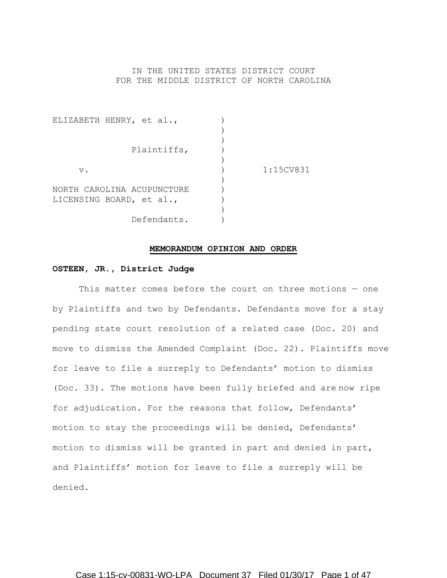# IN THE UNITED STATES DISTRICT COURT FOR THE MIDDLE DISTRICT OF NORTH CAROLINA

| ELIZABETH HENRY, et al.,            |           |
|-------------------------------------|-----------|
|                                     |           |
|                                     |           |
| Plaintiffs,                         |           |
|                                     |           |
| $V$ .<br>NORTH CAROLINA ACUPUNCTURE | 1:15CV831 |
|                                     |           |
|                                     |           |
| LICENSING BOARD, et al.,            |           |
|                                     |           |
| Defendants.                         |           |

# **MEMORANDUM OPINION AND ORDER**

# **OSTEEN, JR., District Judge**

This matter comes before the court on three motions — one by Plaintiffs and two by Defendants. Defendants move for a stay pending state court resolution of a related case (Doc. 20) and move to dismiss the Amended Complaint (Doc. 22). Plaintiffs move for leave to file a surreply to Defendants' motion to dismiss (Doc. 33). The motions have been fully briefed and are now ripe for adjudication. For the reasons that follow, Defendants' motion to stay the proceedings will be denied, Defendants' motion to dismiss will be granted in part and denied in part, and Plaintiffs' motion for leave to file a surreply will be denied.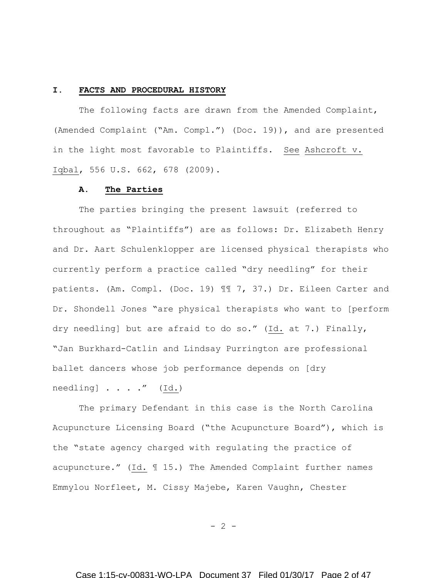#### **I. FACTS AND PROCEDURAL HISTORY**

The following facts are drawn from the Amended Complaint, (Amended Complaint ("Am. Compl.") (Doc. 19)), and are presented in the light most favorable to Plaintiffs. See Ashcroft v. Iqbal, 556 U.S. 662, 678 (2009).

# **A. The Parties**

The parties bringing the present lawsuit (referred to throughout as "Plaintiffs") are as follows: Dr. Elizabeth Henry and Dr. Aart Schulenklopper are licensed physical therapists who currently perform a practice called "dry needling" for their patients. (Am. Compl. (Doc. 19) ¶¶ 7, 37.) Dr. Eileen Carter and Dr. Shondell Jones "are physical therapists who want to [perform dry needling] but are afraid to do so." (Id. at 7.) Finally, "Jan Burkhard-Catlin and Lindsay Purrington are professional ballet dancers whose job performance depends on [dry needling] . . . ." (Id.)

The primary Defendant in this case is the North Carolina Acupuncture Licensing Board ("the Acupuncture Board"), which is the "state agency charged with regulating the practice of acupuncture." (Id. ¶ 15.) The Amended Complaint further names Emmylou Norfleet, M. Cissy Majebe, Karen Vaughn, Chester

 $- 2 -$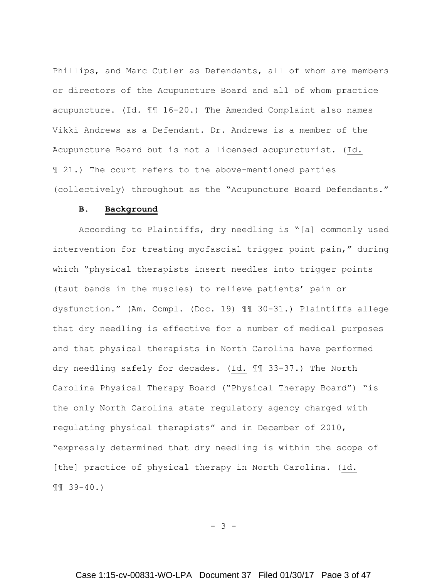Phillips, and Marc Cutler as Defendants, all of whom are members or directors of the Acupuncture Board and all of whom practice acupuncture. (Id. ¶¶ 16-20.) The Amended Complaint also names Vikki Andrews as a Defendant. Dr. Andrews is a member of the Acupuncture Board but is not a licensed acupuncturist. (Id. ¶ 21.) The court refers to the above-mentioned parties (collectively) throughout as the "Acupuncture Board Defendants."

# **B. Background**

According to Plaintiffs, dry needling is "[a] commonly used intervention for treating myofascial trigger point pain," during which "physical therapists insert needles into trigger points (taut bands in the muscles) to relieve patients' pain or dysfunction." (Am. Compl. (Doc. 19) ¶¶ 30-31.) Plaintiffs allege that dry needling is effective for a number of medical purposes and that physical therapists in North Carolina have performed dry needling safely for decades. (Id. ¶¶ 33-37.) The North Carolina Physical Therapy Board ("Physical Therapy Board") "is the only North Carolina state regulatory agency charged with regulating physical therapists" and in December of 2010, "expressly determined that dry needling is within the scope of [the] practice of physical therapy in North Carolina. (Id. ¶¶ 39-40.)

- 3 -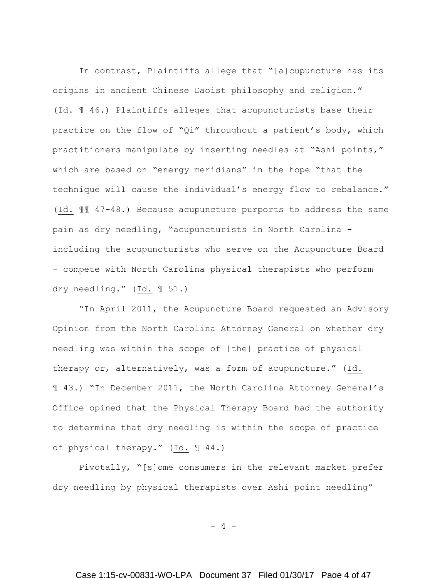In contrast, Plaintiffs allege that "[a]cupuncture has its origins in ancient Chinese Daoist philosophy and religion." (Id. ¶ 46.) Plaintiffs alleges that acupuncturists base their practice on the flow of "Qi" throughout a patient's body, which practitioners manipulate by inserting needles at "Ashi points," which are based on "energy meridians" in the hope "that the technique will cause the individual's energy flow to rebalance." (Id. ¶¶ 47-48.) Because acupuncture purports to address the same pain as dry needling, "acupuncturists in North Carolina including the acupuncturists who serve on the Acupuncture Board - compete with North Carolina physical therapists who perform dry needling." (Id. ¶ 51.)

"In April 2011, the Acupuncture Board requested an Advisory Opinion from the North Carolina Attorney General on whether dry needling was within the scope of [the] practice of physical therapy or, alternatively, was a form of acupuncture." (Id. ¶ 43.) "In December 2011, the North Carolina Attorney General's Office opined that the Physical Therapy Board had the authority to determine that dry needling is within the scope of practice of physical therapy." (Id. ¶ 44.)

Pivotally, "[s]ome consumers in the relevant market prefer dry needling by physical therapists over Ashi point needling"

 $-4 -$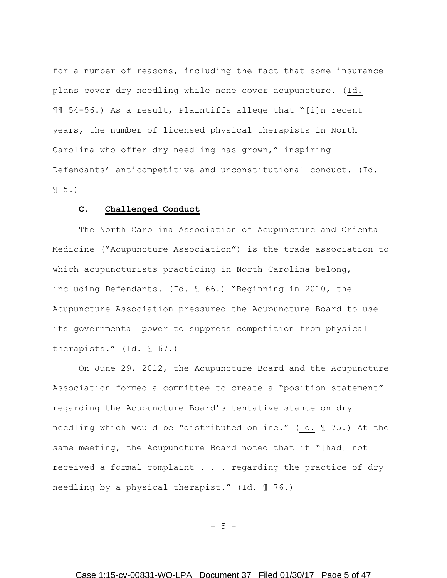for a number of reasons, including the fact that some insurance plans cover dry needling while none cover acupuncture. (Id. ¶¶ 54-56.) As a result, Plaintiffs allege that "[i]n recent years, the number of licensed physical therapists in North Carolina who offer dry needling has grown," inspiring Defendants' anticompetitive and unconstitutional conduct. (Id.  $\P 5.$ 

# **C. Challenged Conduct**

The North Carolina Association of Acupuncture and Oriental Medicine ("Acupuncture Association") is the trade association to which acupuncturists practicing in North Carolina belong, including Defendants. (Id. ¶ 66.) "Beginning in 2010, the Acupuncture Association pressured the Acupuncture Board to use its governmental power to suppress competition from physical therapists." (Id. ¶ 67.)

On June 29, 2012, the Acupuncture Board and the Acupuncture Association formed a committee to create a "position statement" regarding the Acupuncture Board's tentative stance on dry needling which would be "distributed online." (Id. ¶ 75.) At the same meeting, the Acupuncture Board noted that it "[had] not received a formal complaint . . . regarding the practice of dry needling by a physical therapist." (Id. ¶ 76.)

 $- 5 -$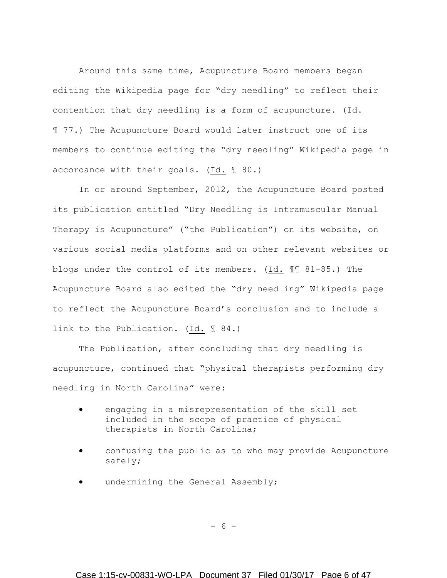Around this same time, Acupuncture Board members began editing the Wikipedia page for "dry needling" to reflect their contention that dry needling is a form of acupuncture. (Id. ¶ 77.) The Acupuncture Board would later instruct one of its members to continue editing the "dry needling" Wikipedia page in accordance with their goals. (Id. ¶ 80.)

In or around September, 2012, the Acupuncture Board posted its publication entitled "Dry Needling is Intramuscular Manual Therapy is Acupuncture" ("the Publication") on its website, on various social media platforms and on other relevant websites or blogs under the control of its members. (Id. ¶¶ 81-85.) The Acupuncture Board also edited the "dry needling" Wikipedia page to reflect the Acupuncture Board's conclusion and to include a link to the Publication. (Id. ¶ 84.)

The Publication, after concluding that dry needling is acupuncture, continued that "physical therapists performing dry needling in North Carolina" were:

- engaging in a misrepresentation of the skill set included in the scope of practice of physical therapists in North Carolina;
- confusing the public as to who may provide Acupuncture safely;
- undermining the General Assembly;

- 6 -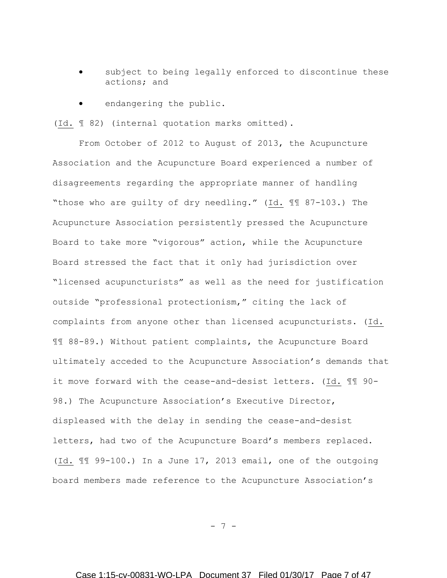- subject to being legally enforced to discontinue these actions; and
- endangering the public.

(Id. ¶ 82) (internal quotation marks omitted).

From October of 2012 to August of 2013, the Acupuncture Association and the Acupuncture Board experienced a number of disagreements regarding the appropriate manner of handling "those who are guilty of dry needling." (Id. ¶¶ 87-103.) The Acupuncture Association persistently pressed the Acupuncture Board to take more "vigorous" action, while the Acupuncture Board stressed the fact that it only had jurisdiction over "licensed acupuncturists" as well as the need for justification outside "professional protectionism," citing the lack of complaints from anyone other than licensed acupuncturists. (Id. ¶¶ 88-89.) Without patient complaints, the Acupuncture Board ultimately acceded to the Acupuncture Association's demands that it move forward with the cease-and-desist letters. (Id. ¶¶ 90- 98.) The Acupuncture Association's Executive Director, displeased with the delay in sending the cease-and-desist letters, had two of the Acupuncture Board's members replaced. (Id. ¶¶ 99-100.) In a June 17, 2013 email, one of the outgoing board members made reference to the Acupuncture Association's

- 7 -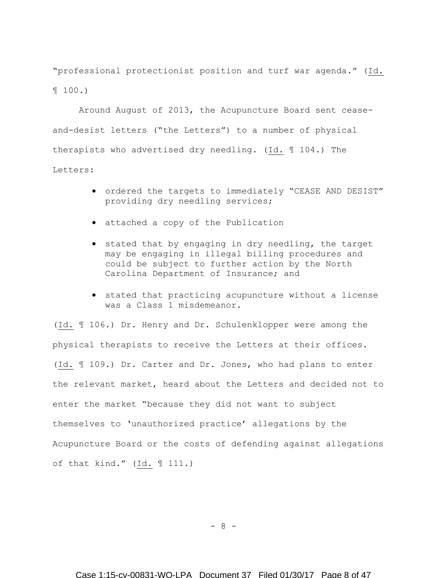"professional protectionist position and turf war agenda." (Id. ¶ 100.)

Around August of 2013, the Acupuncture Board sent ceaseand-desist letters ("the Letters") to a number of physical therapists who advertised dry needling. (Id. ¶ 104.) The Letters:

- ordered the targets to immediately "CEASE AND DESIST" providing dry needling services;
- attached a copy of the Publication
- stated that by engaging in dry needling, the target may be engaging in illegal billing procedures and could be subject to further action by the North Carolina Department of Insurance; and
- stated that practicing acupuncture without a license was a Class 1 misdemeanor.

(Id. ¶ 106.) Dr. Henry and Dr. Schulenklopper were among the physical therapists to receive the Letters at their offices. (Id. ¶ 109.) Dr. Carter and Dr. Jones, who had plans to enter the relevant market, heard about the Letters and decided not to enter the market "because they did not want to subject themselves to 'unauthorized practice' allegations by the Acupuncture Board or the costs of defending against allegations of that kind." (Id. ¶ 111.)

- 8 -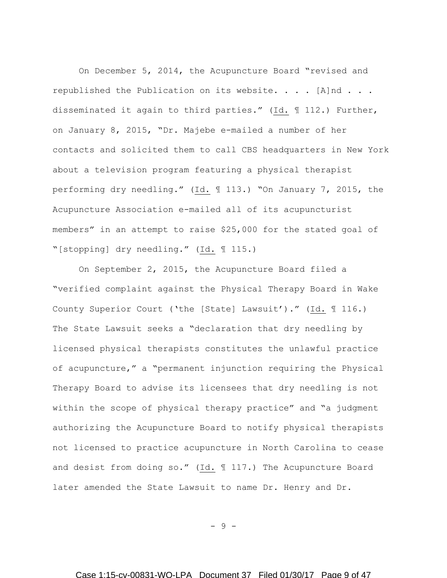On December 5, 2014, the Acupuncture Board "revised and republished the Publication on its website. . . . [A]nd . . . disseminated it again to third parties." (Id. ¶ 112.) Further, on January 8, 2015, "Dr. Majebe e-mailed a number of her contacts and solicited them to call CBS headquarters in New York about a television program featuring a physical therapist performing dry needling." (Id. ¶ 113.) "On January 7, 2015, the Acupuncture Association e-mailed all of its acupuncturist members" in an attempt to raise \$25,000 for the stated goal of "[stopping] dry needling." (Id. ¶ 115.)

On September 2, 2015, the Acupuncture Board filed a "verified complaint against the Physical Therapy Board in Wake County Superior Court ('the [State] Lawsuit')." (Id. ¶ 116.) The State Lawsuit seeks a "declaration that dry needling by licensed physical therapists constitutes the unlawful practice of acupuncture," a "permanent injunction requiring the Physical Therapy Board to advise its licensees that dry needling is not within the scope of physical therapy practice" and "a judgment authorizing the Acupuncture Board to notify physical therapists not licensed to practice acupuncture in North Carolina to cease and desist from doing so." (Id. 117.) The Acupuncture Board later amended the State Lawsuit to name Dr. Henry and Dr.

- 9 -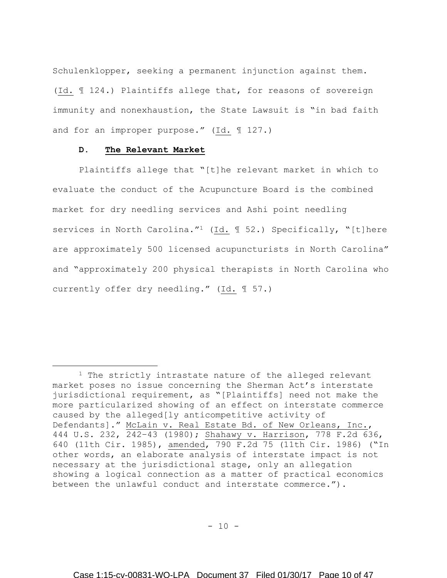Schulenklopper, seeking a permanent injunction against them. (Id. ¶ 124.) Plaintiffs allege that, for reasons of sovereign immunity and nonexhaustion, the State Lawsuit is "in bad faith and for an improper purpose." (Id. ¶ 127.)

# **D. The Relevant Market**

 $\overline{a}$ 

Plaintiffs allege that "[t]he relevant market in which to evaluate the conduct of the Acupuncture Board is the combined market for dry needling services and Ashi point needling services in North Carolina."<sup>1</sup> (Id. 1 52.) Specifically, "[t]here are approximately 500 licensed acupuncturists in North Carolina" and "approximately 200 physical therapists in North Carolina who currently offer dry needling." (Id. ¶ 57.)

<sup>&</sup>lt;sup>1</sup> The strictly intrastate nature of the alleged relevant market poses no issue concerning the Sherman Act's interstate jurisdictional requirement, as "[Plaintiffs] need not make the more particularized showing of an effect on interstate commerce caused by the alleged[ly anticompetitive activity of Defendants]." McLain v. Real Estate Bd. of New Orleans, Inc., 444 U.S. 232, 242–43 (1980); Shahawy v. Harrison, 778 F.2d 636, 640 (11th Cir. 1985), amended, 790 F.2d 75 (11th Cir. 1986) ("In other words, an elaborate analysis of interstate impact is not necessary at the jurisdictional stage, only an allegation showing a logical connection as a matter of practical economics between the unlawful conduct and interstate commerce.").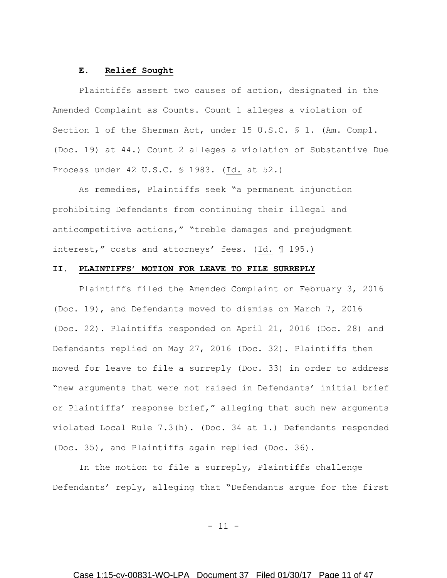### **E. Relief Sought**

Plaintiffs assert two causes of action, designated in the Amended Complaint as Counts. Count 1 alleges a violation of Section 1 of the Sherman Act, under 15 U.S.C. § 1. (Am. Compl. (Doc. 19) at 44.) Count 2 alleges a violation of Substantive Due Process under 42 U.S.C. § 1983. (Id. at 52.)

As remedies, Plaintiffs seek "a permanent injunction prohibiting Defendants from continuing their illegal and anticompetitive actions," "treble damages and prejudgment interest," costs and attorneys' fees. (Id. ¶ 195.)

# **II. PLAINTIFFS' MOTION FOR LEAVE TO FILE SURREPLY**

Plaintiffs filed the Amended Complaint on February 3, 2016 (Doc. 19), and Defendants moved to dismiss on March 7, 2016 (Doc. 22). Plaintiffs responded on April 21, 2016 (Doc. 28) and Defendants replied on May 27, 2016 (Doc. 32). Plaintiffs then moved for leave to file a surreply (Doc. 33) in order to address "new arguments that were not raised in Defendants' initial brief or Plaintiffs' response brief," alleging that such new arguments violated Local Rule 7.3(h). (Doc. 34 at 1.) Defendants responded (Doc. 35), and Plaintiffs again replied (Doc. 36).

In the motion to file a surreply, Plaintiffs challenge Defendants' reply, alleging that "Defendants argue for the first

- 11 -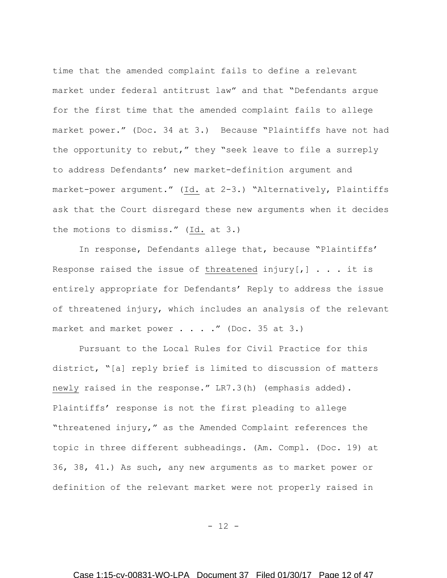time that the amended complaint fails to define a relevant market under federal antitrust law" and that "Defendants argue for the first time that the amended complaint fails to allege market power." (Doc. 34 at 3.) Because "Plaintiffs have not had the opportunity to rebut," they "seek leave to file a surreply to address Defendants' new market-definition argument and market-power argument." (Id. at 2-3.) "Alternatively, Plaintiffs ask that the Court disregard these new arguments when it decides the motions to dismiss." (Id. at 3.)

In response, Defendants allege that, because "Plaintiffs' Response raised the issue of threatened injury $[,]$  . . . it is entirely appropriate for Defendants' Reply to address the issue of threatened injury, which includes an analysis of the relevant market and market power . . . ." (Doc. 35 at 3.)

Pursuant to the Local Rules for Civil Practice for this district, "[a] reply brief is limited to discussion of matters newly raised in the response." LR7.3(h) (emphasis added). Plaintiffs' response is not the first pleading to allege "threatened injury," as the Amended Complaint references the topic in three different subheadings. (Am. Compl. (Doc. 19) at 36, 38, 41.) As such, any new arguments as to market power or definition of the relevant market were not properly raised in

- 12 -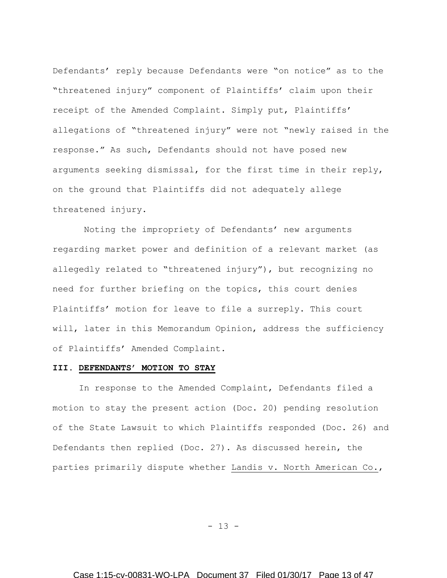Defendants' reply because Defendants were "on notice" as to the "threatened injury" component of Plaintiffs' claim upon their receipt of the Amended Complaint. Simply put, Plaintiffs' allegations of "threatened injury" were not "newly raised in the response." As such, Defendants should not have posed new arguments seeking dismissal, for the first time in their reply, on the ground that Plaintiffs did not adequately allege threatened injury.

Noting the impropriety of Defendants' new arguments regarding market power and definition of a relevant market (as allegedly related to "threatened injury"), but recognizing no need for further briefing on the topics, this court denies Plaintiffs' motion for leave to file a surreply. This court will, later in this Memorandum Opinion, address the sufficiency of Plaintiffs' Amended Complaint.

### **III. DEFENDANTS' MOTION TO STAY**

In response to the Amended Complaint, Defendants filed a motion to stay the present action (Doc. 20) pending resolution of the State Lawsuit to which Plaintiffs responded (Doc. 26) and Defendants then replied (Doc. 27). As discussed herein, the parties primarily dispute whether Landis v. North American Co.,

- 13 -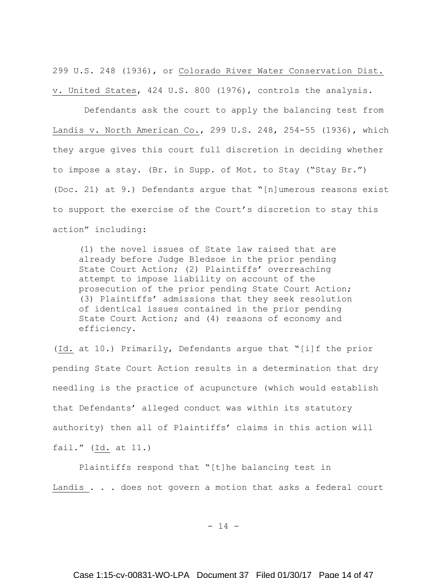299 U.S. 248 (1936), or Colorado River Water Conservation Dist. v. United States, 424 U.S. 800 (1976), controls the analysis.

Defendants ask the court to apply the balancing test from Landis v. North American Co., 299 U.S. 248, 254-55 (1936), which they argue gives this court full discretion in deciding whether to impose a stay. (Br. in Supp. of Mot. to Stay ("Stay Br.") (Doc. 21) at 9.) Defendants argue that "[n]umerous reasons exist to support the exercise of the Court's discretion to stay this action" including:

(1) the novel issues of State law raised that are already before Judge Bledsoe in the prior pending State Court Action; (2) Plaintiffs' overreaching attempt to impose liability on account of the prosecution of the prior pending State Court Action; (3) Plaintiffs' admissions that they seek resolution of identical issues contained in the prior pending State Court Action; and (4) reasons of economy and efficiency.

(Id. at 10.) Primarily, Defendants argue that "[i]f the prior pending State Court Action results in a determination that dry needling is the practice of acupuncture (which would establish that Defendants' alleged conduct was within its statutory authority) then all of Plaintiffs' claims in this action will fail." (Id. at 11.)

Plaintiffs respond that "[t]he balancing test in Landis . . . does not govern a motion that asks a federal court

 $- 14 -$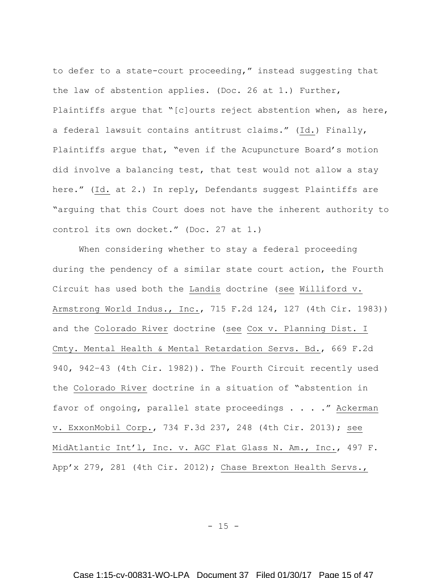to defer to a state-court proceeding," instead suggesting that the law of abstention applies. (Doc. 26 at 1.) Further, Plaintiffs argue that "[c]ourts reject abstention when, as here, a federal lawsuit contains antitrust claims." (Id.) Finally, Plaintiffs argue that, "even if the Acupuncture Board's motion did involve a balancing test, that test would not allow a stay here." (Id. at 2.) In reply, Defendants suggest Plaintiffs are "arguing that this Court does not have the inherent authority to control its own docket." (Doc. 27 at 1.)

When considering whether to stay a federal proceeding during the pendency of a similar state court action, the Fourth Circuit has used both the Landis doctrine (see Williford v. Armstrong World Indus., Inc., 715 F.2d 124, 127 (4th Cir. 1983)) and the Colorado River doctrine (see Cox v. Planning Dist. I Cmty. Mental Health & Mental Retardation Servs. Bd., 669 F.2d 940, 942–43 (4th Cir. 1982)). The Fourth Circuit recently used the Colorado River doctrine in a situation of "abstention in favor of ongoing, parallel state proceedings . . . ." Ackerman v. ExxonMobil Corp., 734 F.3d 237, 248 (4th Cir. 2013); see MidAtlantic Int'l, Inc. v. AGC Flat Glass N. Am., Inc., 497 F. App'x 279, 281 (4th Cir. 2012); Chase Brexton Health Servs.,

 $- 15 -$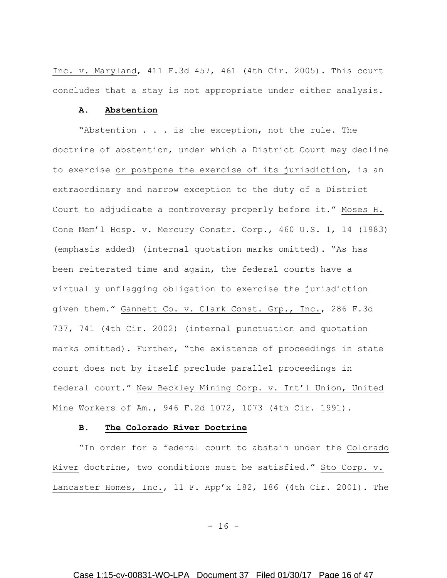Inc. v. Maryland, 411 F.3d 457, 461 (4th Cir. 2005). This court concludes that a stay is not appropriate under either analysis.

## **A. Abstention**

"Abstention . . . is the exception, not the rule. The doctrine of abstention, under which a District Court may decline to exercise or postpone the exercise of its jurisdiction, is an extraordinary and narrow exception to the duty of a District Court to adjudicate a controversy properly before it." Moses H. Cone Mem'l Hosp. v. Mercury Constr. Corp., 460 U.S. 1, 14 (1983) (emphasis added) (internal quotation marks omitted). "As has been reiterated time and again, the federal courts have a virtually unflagging obligation to exercise the jurisdiction given them." Gannett Co. v. Clark Const. Grp., Inc., 286 F.3d 737, 741 (4th Cir. 2002) (internal punctuation and quotation marks omitted). Further, "the existence of proceedings in state court does not by itself preclude parallel proceedings in federal court." New Beckley Mining Corp. v. Int'l Union, United Mine Workers of Am., 946 F.2d 1072, 1073 (4th Cir. 1991).

#### **B. The Colorado River Doctrine**

"In order for a federal court to abstain under the Colorado River doctrine, two conditions must be satisfied." Sto Corp. v. Lancaster Homes, Inc., 11 F. App'x 182, 186 (4th Cir. 2001). The

- 16 -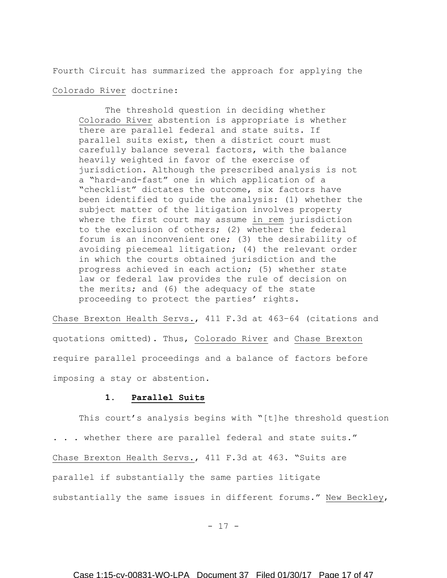Fourth Circuit has summarized the approach for applying the

# Colorado River doctrine:

The threshold question in deciding whether Colorado River abstention is appropriate is whether there are parallel federal and state suits. If parallel suits exist, then a district court must carefully balance several factors, with the balance heavily weighted in favor of the exercise of jurisdiction. Although the prescribed analysis is not a "hard-and-fast" one in which application of a "checklist" dictates the outcome, six factors have been identified to guide the analysis: (1) whether the subject matter of the litigation involves property where the first court may assume in rem jurisdiction to the exclusion of others; (2) whether the federal forum is an inconvenient one; (3) the desirability of avoiding piecemeal litigation; (4) the relevant order in which the courts obtained jurisdiction and the progress achieved in each action; (5) whether state law or federal law provides the rule of decision on the merits; and (6) the adequacy of the state proceeding to protect the parties' rights.

Chase Brexton Health Servs., 411 F.3d at 463–64 (citations and quotations omitted). Thus, Colorado River and Chase Brexton require parallel proceedings and a balance of factors before imposing a stay or abstention.

# **1. Parallel Suits**

This court's analysis begins with "[t]he threshold question . . . whether there are parallel federal and state suits." Chase Brexton Health Servs., 411 F.3d at 463. "Suits are parallel if substantially the same parties litigate substantially the same issues in different forums." New Beckley,

- 17 -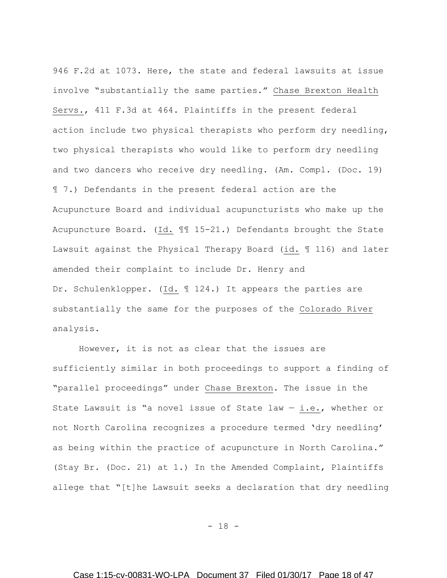946 F.2d at 1073. Here, the state and federal lawsuits at issue involve "substantially the same parties." Chase Brexton Health Servs., 411 F.3d at 464. Plaintiffs in the present federal action include two physical therapists who perform dry needling, two physical therapists who would like to perform dry needling and two dancers who receive dry needling. (Am. Compl. (Doc. 19) ¶ 7.) Defendants in the present federal action are the Acupuncture Board and individual acupuncturists who make up the Acupuncture Board. (Id. ¶¶ 15-21.) Defendants brought the State Lawsuit against the Physical Therapy Board (id. ¶ 116) and later amended their complaint to include Dr. Henry and Dr. Schulenklopper. (Id. ¶ 124.) It appears the parties are substantially the same for the purposes of the Colorado River analysis.

However, it is not as clear that the issues are sufficiently similar in both proceedings to support a finding of "parallel proceedings" under Chase Brexton. The issue in the State Lawsuit is "a novel issue of State law  $-$  i.e., whether or not North Carolina recognizes a procedure termed 'dry needling' as being within the practice of acupuncture in North Carolina." (Stay Br. (Doc. 21) at 1.) In the Amended Complaint, Plaintiffs allege that "[t]he Lawsuit seeks a declaration that dry needling

- 18 -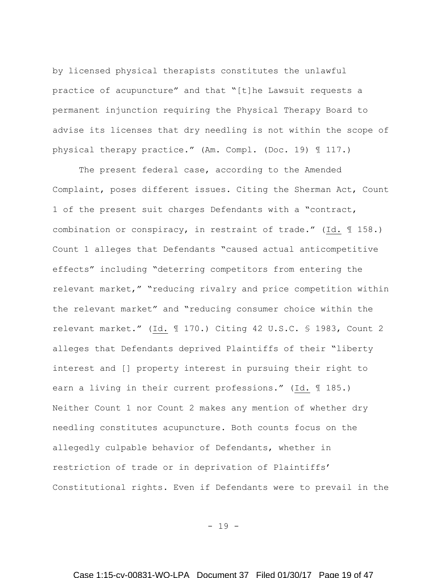by licensed physical therapists constitutes the unlawful practice of acupuncture" and that "[t]he Lawsuit requests a permanent injunction requiring the Physical Therapy Board to advise its licenses that dry needling is not within the scope of physical therapy practice." (Am. Compl. (Doc. 19) ¶ 117.)

The present federal case, according to the Amended Complaint, poses different issues. Citing the Sherman Act, Count 1 of the present suit charges Defendants with a "contract, combination or conspiracy, in restraint of trade." (Id. ¶ 158.) Count 1 alleges that Defendants "caused actual anticompetitive effects" including "deterring competitors from entering the relevant market," "reducing rivalry and price competition within the relevant market" and "reducing consumer choice within the relevant market." (Id. ¶ 170.) Citing 42 U.S.C. § 1983, Count 2 alleges that Defendants deprived Plaintiffs of their "liberty interest and [] property interest in pursuing their right to earn a living in their current professions." (Id. ¶ 185.) Neither Count 1 nor Count 2 makes any mention of whether dry needling constitutes acupuncture. Both counts focus on the allegedly culpable behavior of Defendants, whether in restriction of trade or in deprivation of Plaintiffs' Constitutional rights. Even if Defendants were to prevail in the

- 19 -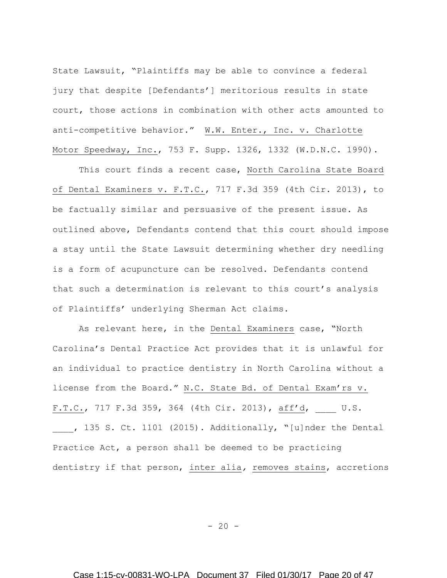State Lawsuit, "Plaintiffs may be able to convince a federal jury that despite [Defendants'] meritorious results in state court, those actions in combination with other acts amounted to anti-competitive behavior." W.W. Enter., Inc. v. Charlotte Motor Speedway, Inc., 753 F. Supp. 1326, 1332 (W.D.N.C. 1990).

This court finds a recent case, North Carolina State Board of Dental Examiners v. F.T.C., 717 F.3d 359 (4th Cir. 2013), to be factually similar and persuasive of the present issue. As outlined above, Defendants contend that this court should impose a stay until the State Lawsuit determining whether dry needling is a form of acupuncture can be resolved. Defendants contend that such a determination is relevant to this court's analysis of Plaintiffs' underlying Sherman Act claims.

As relevant here, in the Dental Examiners case, "North Carolina's Dental Practice Act provides that it is unlawful for an individual to practice dentistry in North Carolina without a license from the Board." N.C. State Bd. of Dental Exam'rs v. F.T.C., 717 F.3d 359, 364 (4th Cir. 2013), aff'd, \_\_\_\_ U.S. , 135 S. Ct. 1101 (2015). Additionally, "[u]nder the Dental Practice Act, a person shall be deemed to be practicing dentistry if that person, inter alia*,* removes stains, accretions

 $- 20 -$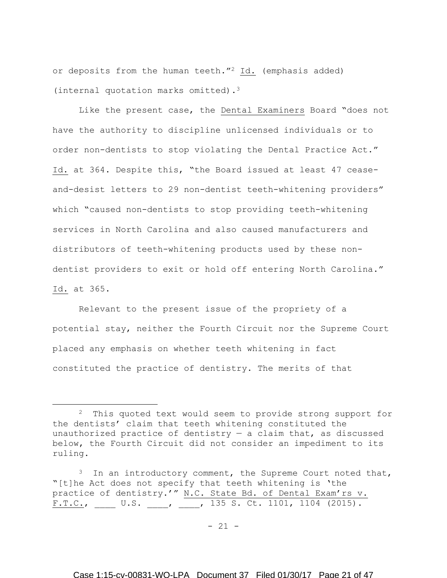or deposits from the human teeth."<sup>2</sup> Id. (emphasis added) (internal quotation marks omitted).<sup>3</sup>

Like the present case, the Dental Examiners Board "does not have the authority to discipline unlicensed individuals or to order non-dentists to stop violating the Dental Practice Act." Id. at 364. Despite this, "the Board issued at least 47 ceaseand-desist letters to 29 non-dentist teeth-whitening providers" which "caused non-dentists to stop providing teeth-whitening services in North Carolina and also caused manufacturers and distributors of teeth-whitening products used by these nondentist providers to exit or hold off entering North Carolina." Id. at 365.

Relevant to the present issue of the propriety of a potential stay, neither the Fourth Circuit nor the Supreme Court placed any emphasis on whether teeth whitening in fact constituted the practice of dentistry. The merits of that

 $\overline{a}$ 

<sup>&</sup>lt;sup>2</sup> This quoted text would seem to provide strong support for the dentists' claim that teeth whitening constituted the unauthorized practice of dentistry  $-$  a claim that, as discussed below, the Fourth Circuit did not consider an impediment to its ruling.

<sup>&</sup>lt;sup>3</sup> In an introductory comment, the Supreme Court noted that, "[t]he Act does not specify that teeth whitening is 'the practice of dentistry.'" N.C. State Bd. of Dental Exam'rs v.  $F.T.C.,$  U.S.  $\_\_\_\prime$  135 S. Ct. 1101, 1104 (2015).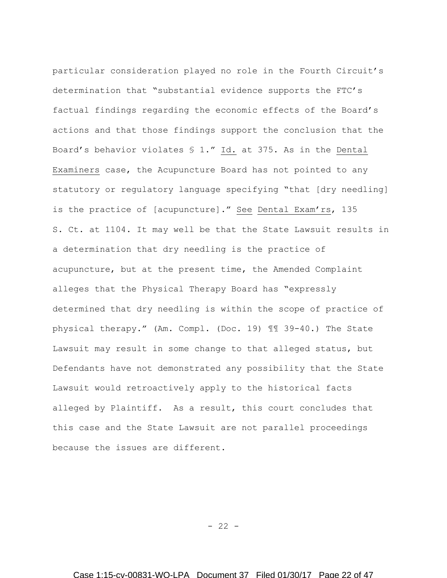particular consideration played no role in the Fourth Circuit's determination that "substantial evidence supports the FTC's factual findings regarding the economic effects of the Board's actions and that those findings support the conclusion that the Board's behavior violates § 1." Id. at 375. As in the Dental Examiners case, the Acupuncture Board has not pointed to any statutory or regulatory language specifying "that [dry needling] is the practice of [acupuncture]." See Dental Exam'rs, 135 S. Ct. at 1104. It may well be that the State Lawsuit results in a determination that dry needling is the practice of acupuncture, but at the present time, the Amended Complaint alleges that the Physical Therapy Board has "expressly determined that dry needling is within the scope of practice of physical therapy." (Am. Compl. (Doc. 19) ¶¶ 39-40.) The State Lawsuit may result in some change to that alleged status, but Defendants have not demonstrated any possibility that the State Lawsuit would retroactively apply to the historical facts alleged by Plaintiff. As a result, this court concludes that this case and the State Lawsuit are not parallel proceedings because the issues are different.

 $- 22 -$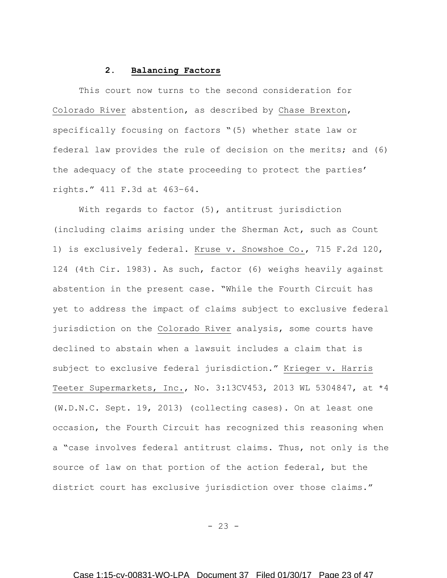# **2. Balancing Factors**

This court now turns to the second consideration for Colorado River abstention, as described by Chase Brexton, specifically focusing on factors "(5) whether state law or federal law provides the rule of decision on the merits; and (6) the adequacy of the state proceeding to protect the parties' rights." 411 F.3d at 463–64.

With regards to factor (5), antitrust jurisdiction (including claims arising under the Sherman Act, such as Count 1) is exclusively federal. Kruse v. Snowshoe Co., 715 F.2d 120, 124 (4th Cir. 1983). As such, factor (6) weighs heavily against abstention in the present case. "While the Fourth Circuit has yet to address the impact of claims subject to exclusive federal jurisdiction on the Colorado River analysis, some courts have declined to abstain when a lawsuit includes a claim that is subject to exclusive federal jurisdiction." Krieger v. Harris Teeter Supermarkets, Inc., No. 3:13CV453, 2013 WL 5304847, at \*4 (W.D.N.C. Sept. 19, 2013) (collecting cases). On at least one occasion, the Fourth Circuit has recognized this reasoning when a "case involves federal antitrust claims. Thus, not only is the source of law on that portion of the action federal, but the district court has exclusive jurisdiction over those claims."

 $- 23 -$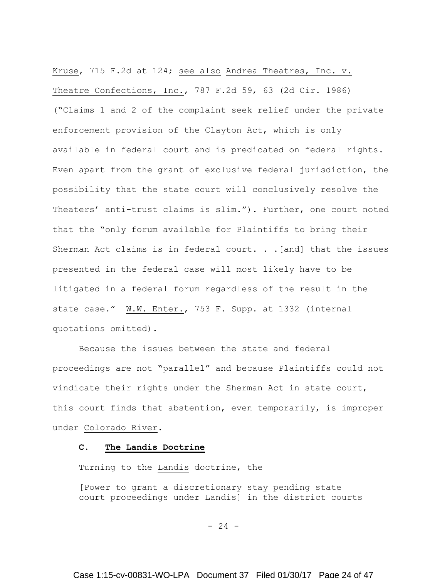Kruse, 715 F.2d at 124; see also Andrea Theatres, Inc. v. Theatre Confections, Inc., 787 F.2d 59, 63 (2d Cir. 1986) ("Claims 1 and 2 of the complaint seek relief under the private enforcement provision of the Clayton Act, which is only available in federal court and is predicated on federal rights. Even apart from the grant of exclusive federal jurisdiction, the possibility that the state court will conclusively resolve the Theaters' anti-trust claims is slim."). Further, one court noted that the "only forum available for Plaintiffs to bring their Sherman Act claims is in federal court. . . [and] that the issues presented in the federal case will most likely have to be litigated in a federal forum regardless of the result in the state case." W.W. Enter., 753 F. Supp. at 1332 (internal quotations omitted).

Because the issues between the state and federal proceedings are not "parallel" and because Plaintiffs could not vindicate their rights under the Sherman Act in state court, this court finds that abstention, even temporarily, is improper under Colorado River.

# **C. The Landis Doctrine**

Turning to the Landis doctrine, the

[Power to grant a discretionary stay pending state court proceedings under Landis] in the district courts

 $- 24 -$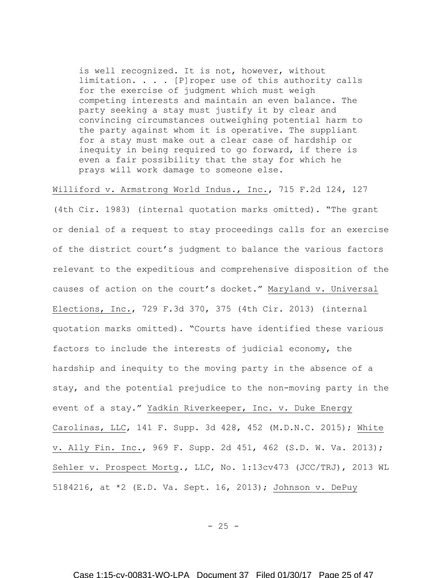is well recognized. It is not, however, without limitation. . . . [P]roper use of this authority calls for the exercise of judgment which must weigh competing interests and maintain an even balance. The party seeking a stay must justify it by clear and convincing circumstances outweighing potential harm to the party against whom it is operative. The suppliant for a stay must make out a clear case of hardship or inequity in being required to go forward, if there is even a fair possibility that the stay for which he prays will work damage to someone else.

Williford v. Armstrong World Indus., Inc., 715 F.2d 124, 127

(4th Cir. 1983) (internal quotation marks omitted). "The grant or denial of a request to stay proceedings calls for an exercise of the district court's judgment to balance the various factors relevant to the expeditious and comprehensive disposition of the causes of action on the court's docket." Maryland v. Universal Elections, Inc., 729 F.3d 370, 375 (4th Cir. 2013) (internal quotation marks omitted). "Courts have identified these various factors to include the interests of judicial economy, the hardship and inequity to the moving party in the absence of a stay, and the potential prejudice to the non-moving party in the event of a stay." Yadkin Riverkeeper, Inc. v. Duke Energy Carolinas, LLC, 141 F. Supp. 3d 428, 452 (M.D.N.C. 2015); White v. Ally Fin. Inc., 969 F. Supp. 2d 451, 462 (S.D. W. Va. 2013); Sehler v. Prospect Mortg., LLC, No. 1:13cv473 (JCC/TRJ), 2013 WL 5184216, at \*2 (E.D. Va. Sept. 16, 2013); Johnson v. DePuy

 $- 25 -$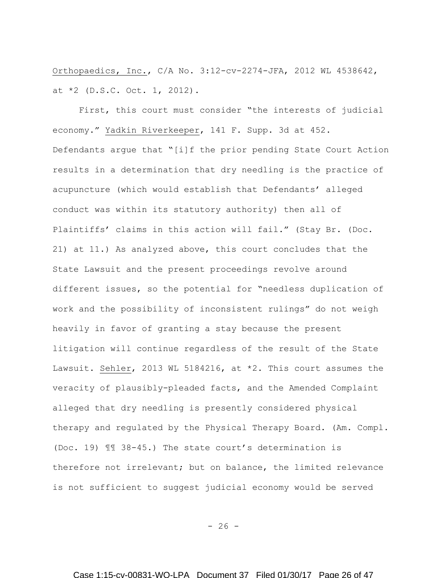Orthopaedics, Inc., C/A No. 3:12-cv-2274-JFA, 2012 WL 4538642, at \*2 (D.S.C. Oct. 1, 2012).

First, this court must consider "the interests of judicial economy." Yadkin Riverkeeper, 141 F. Supp. 3d at 452. Defendants argue that "[i]f the prior pending State Court Action results in a determination that dry needling is the practice of acupuncture (which would establish that Defendants' alleged conduct was within its statutory authority) then all of Plaintiffs' claims in this action will fail." (Stay Br. (Doc. 21) at 11.) As analyzed above, this court concludes that the State Lawsuit and the present proceedings revolve around different issues, so the potential for "needless duplication of work and the possibility of inconsistent rulings" do not weigh heavily in favor of granting a stay because the present litigation will continue regardless of the result of the State Lawsuit. Sehler, 2013 WL 5184216, at \*2. This court assumes the veracity of plausibly-pleaded facts, and the Amended Complaint alleged that dry needling is presently considered physical therapy and regulated by the Physical Therapy Board. (Am. Compl. (Doc. 19) ¶¶ 38-45.) The state court's determination is therefore not irrelevant; but on balance, the limited relevance is not sufficient to suggest judicial economy would be served

 $- 26 -$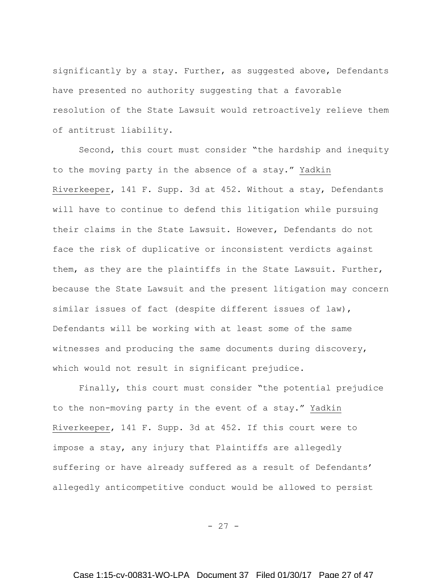significantly by a stay. Further, as suggested above, Defendants have presented no authority suggesting that a favorable resolution of the State Lawsuit would retroactively relieve them of antitrust liability.

Second, this court must consider "the hardship and inequity to the moving party in the absence of a stay." Yadkin Riverkeeper, 141 F. Supp. 3d at 452. Without a stay, Defendants will have to continue to defend this litigation while pursuing their claims in the State Lawsuit. However, Defendants do not face the risk of duplicative or inconsistent verdicts against them, as they are the plaintiffs in the State Lawsuit. Further, because the State Lawsuit and the present litigation may concern similar issues of fact (despite different issues of law), Defendants will be working with at least some of the same witnesses and producing the same documents during discovery, which would not result in significant prejudice.

Finally, this court must consider "the potential prejudice to the non-moving party in the event of a stay." Yadkin Riverkeeper, 141 F. Supp. 3d at 452. If this court were to impose a stay, any injury that Plaintiffs are allegedly suffering or have already suffered as a result of Defendants' allegedly anticompetitive conduct would be allowed to persist

- 27 -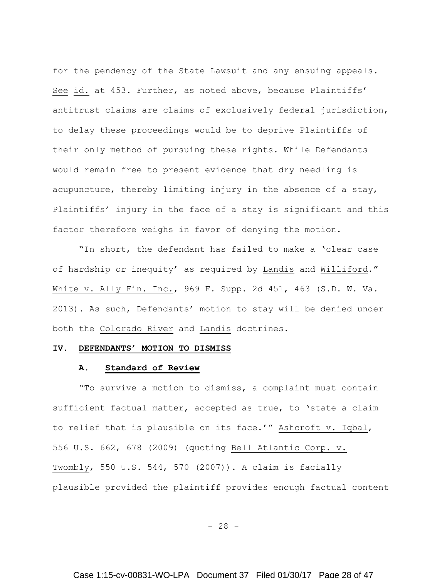for the pendency of the State Lawsuit and any ensuing appeals. See id. at 453. Further, as noted above, because Plaintiffs' antitrust claims are claims of exclusively federal jurisdiction, to delay these proceedings would be to deprive Plaintiffs of their only method of pursuing these rights. While Defendants would remain free to present evidence that dry needling is acupuncture, thereby limiting injury in the absence of a stay, Plaintiffs' injury in the face of a stay is significant and this factor therefore weighs in favor of denying the motion.

"In short, the defendant has failed to make a 'clear case of hardship or inequity' as required by Landis and Williford." White v. Ally Fin. Inc., 969 F. Supp. 2d 451, 463 (S.D. W. Va. 2013). As such, Defendants' motion to stay will be denied under both the Colorado River and Landis doctrines.

## **IV. DEFENDANTS' MOTION TO DISMISS**

### **A. Standard of Review**

"To survive a motion to dismiss, a complaint must contain sufficient factual matter, accepted as true, to 'state a claim to relief that is plausible on its face.'" Ashcroft v. Iqbal, 556 U.S. 662, 678 (2009) (quoting Bell Atlantic Corp. v. Twombly, 550 U.S. 544, 570 (2007)). A claim is facially plausible provided the plaintiff provides enough factual content

 $- 28 -$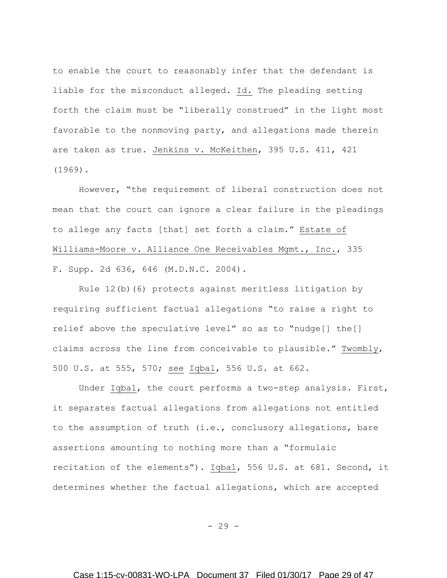to enable the court to reasonably infer that the defendant is liable for the misconduct alleged. Id. The pleading setting forth the claim must be "liberally construed" in the light most favorable to the nonmoving party, and allegations made therein are taken as true. Jenkins v. McKeithen, 395 U.S. 411, 421 (1969).

However, "the requirement of liberal construction does not mean that the court can ignore a clear failure in the pleadings to allege any facts [that] set forth a claim." Estate of Williams-Moore v. Alliance One Receivables Mgmt., Inc., 335 F. Supp. 2d 636, 646 (M.D.N.C. 2004).

Rule 12(b)(6) protects against meritless litigation by requiring sufficient factual allegations "to raise a right to relief above the speculative level" so as to "nudge[] the[] claims across the line from conceivable to plausible." Twombly, 500 U.S. at 555, 570; see Iqbal, 556 U.S. at 662.

Under Iqbal, the court performs a two-step analysis. First, it separates factual allegations from allegations not entitled to the assumption of truth (i.e., conclusory allegations, bare assertions amounting to nothing more than a "formulaic recitation of the elements"). Iqbal, 556 U.S. at 681. Second, it determines whether the factual allegations, which are accepted

 $-29 -$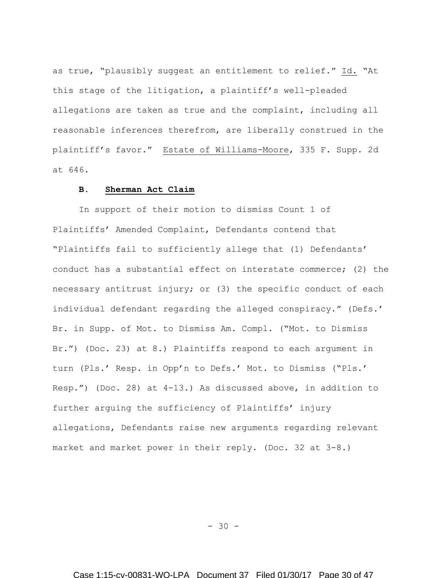as true, "plausibly suggest an entitlement to relief." Id. "At this stage of the litigation, a plaintiff's well-pleaded allegations are taken as true and the complaint, including all reasonable inferences therefrom, are liberally construed in the plaintiff's favor." Estate of Williams-Moore, 335 F. Supp. 2d at 646.

# **B. Sherman Act Claim**

In support of their motion to dismiss Count 1 of Plaintiffs' Amended Complaint, Defendants contend that "Plaintiffs fail to sufficiently allege that (1) Defendants' conduct has a substantial effect on interstate commerce; (2) the necessary antitrust injury; or (3) the specific conduct of each individual defendant regarding the alleged conspiracy." (Defs.' Br. in Supp. of Mot. to Dismiss Am. Compl. ("Mot. to Dismiss Br.") (Doc. 23) at 8.) Plaintiffs respond to each argument in turn (Pls.' Resp. in Opp'n to Defs.' Mot. to Dismiss ("Pls.' Resp.") (Doc. 28) at 4-13.) As discussed above, in addition to further arguing the sufficiency of Plaintiffs' injury allegations, Defendants raise new arguments regarding relevant market and market power in their reply. (Doc. 32 at 3-8.)

- 30 -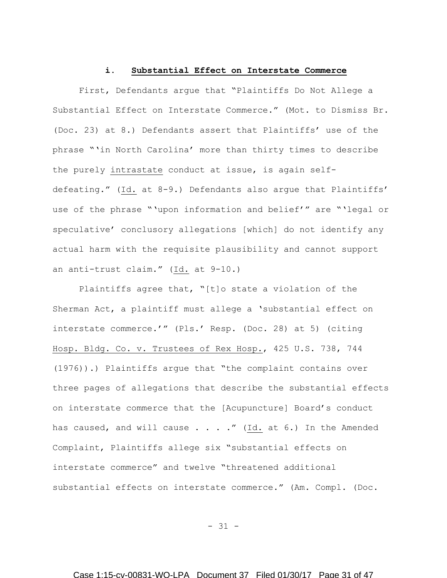### **i. Substantial Effect on Interstate Commerce**

First, Defendants argue that "Plaintiffs Do Not Allege a Substantial Effect on Interstate Commerce." (Mot. to Dismiss Br. (Doc. 23) at 8.) Defendants assert that Plaintiffs' use of the phrase "'in North Carolina' more than thirty times to describe the purely intrastate conduct at issue, is again selfdefeating." (Id. at 8-9.) Defendants also argue that Plaintiffs' use of the phrase "'upon information and belief'" are "'legal or speculative' conclusory allegations [which] do not identify any actual harm with the requisite plausibility and cannot support an anti-trust claim." (Id. at 9-10.)

Plaintiffs agree that, "[t]o state a violation of the Sherman Act, a plaintiff must allege a 'substantial effect on interstate commerce.'" (Pls.' Resp. (Doc. 28) at 5) (citing Hosp. Bldg. Co. v. Trustees of Rex Hosp., 425 U.S. 738, 744 (1976)).) Plaintiffs argue that "the complaint contains over three pages of allegations that describe the substantial effects on interstate commerce that the [Acupuncture] Board's conduct has caused, and will cause . . . ."  $(\underline{Id.}]$  at 6.) In the Amended Complaint, Plaintiffs allege six "substantial effects on interstate commerce" and twelve "threatened additional substantial effects on interstate commerce." (Am. Compl. (Doc.

- 31 -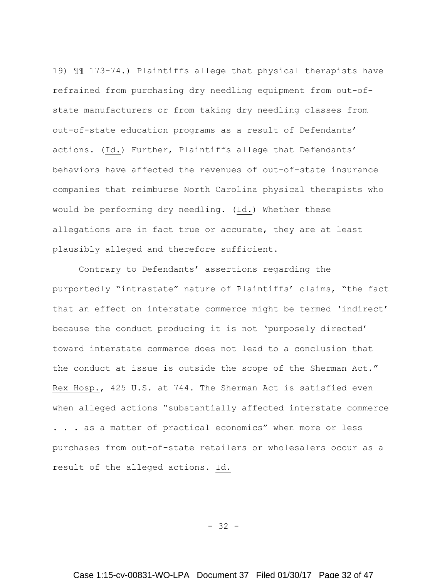19) ¶¶ 173-74.) Plaintiffs allege that physical therapists have refrained from purchasing dry needling equipment from out-ofstate manufacturers or from taking dry needling classes from out-of-state education programs as a result of Defendants' actions. (Id.) Further, Plaintiffs allege that Defendants' behaviors have affected the revenues of out-of-state insurance companies that reimburse North Carolina physical therapists who would be performing dry needling. (Id.) Whether these allegations are in fact true or accurate, they are at least plausibly alleged and therefore sufficient.

Contrary to Defendants' assertions regarding the purportedly "intrastate" nature of Plaintiffs' claims, "the fact that an effect on interstate commerce might be termed 'indirect' because the conduct producing it is not 'purposely directed' toward interstate commerce does not lead to a conclusion that the conduct at issue is outside the scope of the Sherman Act." Rex Hosp., 425 U.S. at 744. The Sherman Act is satisfied even when alleged actions "substantially affected interstate commerce . . . as a matter of practical economics" when more or less purchases from out-of-state retailers or wholesalers occur as a result of the alleged actions. Id.

- 32 -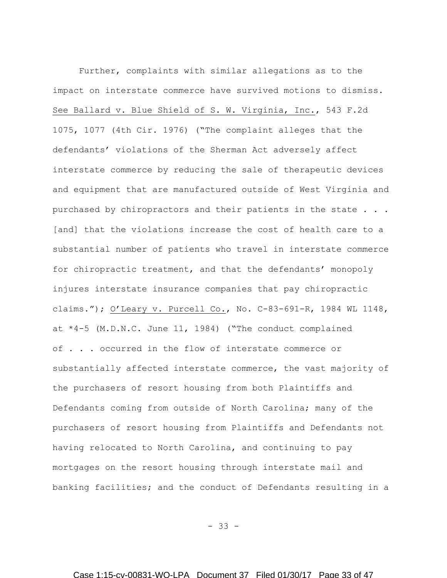Further, complaints with similar allegations as to the impact on interstate commerce have survived motions to dismiss. See Ballard v. Blue Shield of S. W. Virginia, Inc., 543 F.2d 1075, 1077 (4th Cir. 1976) ("The complaint alleges that the defendants' violations of the Sherman Act adversely affect interstate commerce by reducing the sale of therapeutic devices and equipment that are manufactured outside of West Virginia and purchased by chiropractors and their patients in the state . . . [and] that the violations increase the cost of health care to a substantial number of patients who travel in interstate commerce for chiropractic treatment, and that the defendants' monopoly injures interstate insurance companies that pay chiropractic claims."); O'Leary v. Purcell Co., No. C-83-691-R, 1984 WL 1148, at \*4-5 (M.D.N.C. June 11, 1984) ("The conduct complained of . . . occurred in the flow of interstate commerce or substantially affected interstate commerce, the vast majority of the purchasers of resort housing from both Plaintiffs and Defendants coming from outside of North Carolina; many of the purchasers of resort housing from Plaintiffs and Defendants not having relocated to North Carolina, and continuing to pay mortgages on the resort housing through interstate mail and banking facilities; and the conduct of Defendants resulting in a

- 33 -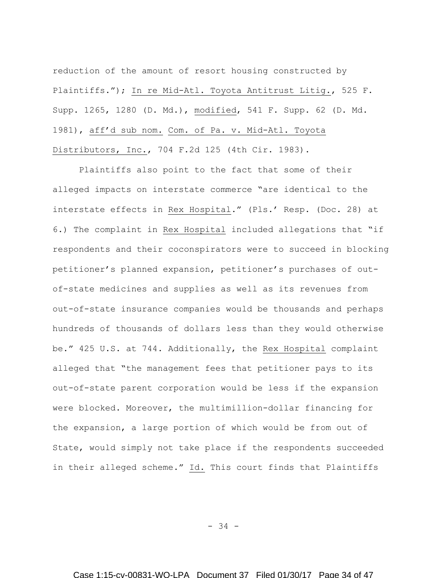reduction of the amount of resort housing constructed by Plaintiffs."); In re Mid-Atl. Toyota Antitrust Litig., 525 F. Supp. 1265, 1280 (D. Md.), modified, 541 F. Supp. 62 (D. Md. 1981), aff'd sub nom. Com. of Pa. v. Mid-Atl. Toyota Distributors, Inc., 704 F.2d 125 (4th Cir. 1983).

Plaintiffs also point to the fact that some of their alleged impacts on interstate commerce "are identical to the interstate effects in Rex Hospital." (Pls.' Resp. (Doc. 28) at 6.) The complaint in Rex Hospital included allegations that "if respondents and their coconspirators were to succeed in blocking petitioner's planned expansion, petitioner's purchases of outof-state medicines and supplies as well as its revenues from out-of-state insurance companies would be thousands and perhaps hundreds of thousands of dollars less than they would otherwise be." 425 U.S. at 744. Additionally, the Rex Hospital complaint alleged that "the management fees that petitioner pays to its out-of-state parent corporation would be less if the expansion were blocked. Moreover, the multimillion-dollar financing for the expansion, a large portion of which would be from out of State, would simply not take place if the respondents succeeded in their alleged scheme." Id. This court finds that Plaintiffs

- 34 -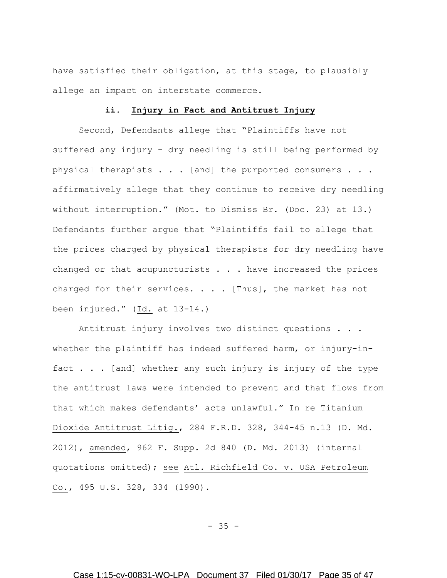have satisfied their obligation, at this stage, to plausibly allege an impact on interstate commerce.

### **ii. Injury in Fact and Antitrust Injury**

Second, Defendants allege that "Plaintiffs have not suffered any injury - dry needling is still being performed by physical therapists . . . [and] the purported consumers . . . affirmatively allege that they continue to receive dry needling without interruption." (Mot. to Dismiss Br. (Doc. 23) at 13.) Defendants further argue that "Plaintiffs fail to allege that the prices charged by physical therapists for dry needling have changed or that acupuncturists  $\ldots$  . have increased the prices charged for their services. . . . [Thus], the market has not been injured." (Id. at 13-14.)

Antitrust injury involves two distinct questions . . . whether the plaintiff has indeed suffered harm, or injury-infact . . . [and] whether any such injury is injury of the type the antitrust laws were intended to prevent and that flows from that which makes defendants' acts unlawful." In re Titanium Dioxide Antitrust Litig., 284 F.R.D. 328, 344-45 n.13 (D. Md. 2012), amended, 962 F. Supp. 2d 840 (D. Md. 2013) (internal quotations omitted); see Atl. Richfield Co. v. USA Petroleum Co., 495 U.S. 328, 334 (1990).

- 35 -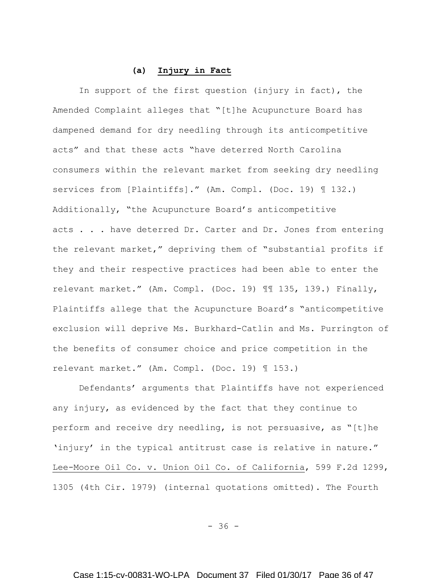### **(a) Injury in Fact**

In support of the first question (injury in fact), the Amended Complaint alleges that "[t]he Acupuncture Board has dampened demand for dry needling through its anticompetitive acts" and that these acts "have deterred North Carolina consumers within the relevant market from seeking dry needling services from [Plaintiffs]." (Am. Compl. (Doc. 19) ¶ 132.) Additionally, "the Acupuncture Board's anticompetitive acts . . . have deterred Dr. Carter and Dr. Jones from entering the relevant market," depriving them of "substantial profits if they and their respective practices had been able to enter the relevant market." (Am. Compl. (Doc. 19) ¶¶ 135, 139.) Finally, Plaintiffs allege that the Acupuncture Board's "anticompetitive exclusion will deprive Ms. Burkhard-Catlin and Ms. Purrington of the benefits of consumer choice and price competition in the relevant market." (Am. Compl. (Doc. 19) ¶ 153.)

Defendants' arguments that Plaintiffs have not experienced any injury, as evidenced by the fact that they continue to perform and receive dry needling, is not persuasive, as "[t]he 'injury' in the typical antitrust case is relative in nature." Lee-Moore Oil Co. v. Union Oil Co. of California, 599 F.2d 1299, 1305 (4th Cir. 1979) (internal quotations omitted). The Fourth

 $- 36 -$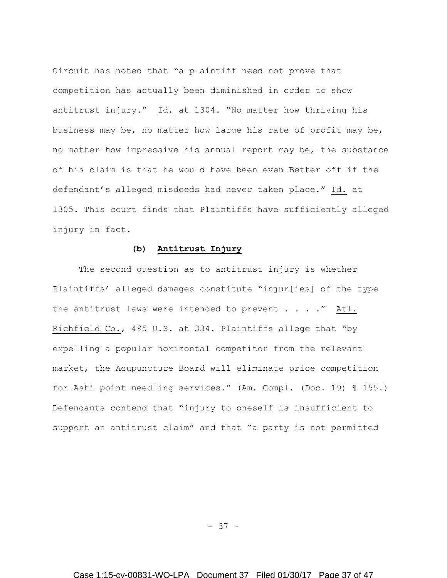Circuit has noted that "a plaintiff need not prove that competition has actually been diminished in order to show antitrust injury." Id. at 1304. "No matter how thriving his business may be, no matter how large his rate of profit may be, no matter how impressive his annual report may be, the substance of his claim is that he would have been even Better off if the defendant's alleged misdeeds had never taken place." Id. at 1305. This court finds that Plaintiffs have sufficiently alleged injury in fact.

# **(b) Antitrust Injury**

The second question as to antitrust injury is whether Plaintiffs' alleged damages constitute "injur[ies] of the type the antitrust laws were intended to prevent . . . . " Atl. Richfield Co., 495 U.S. at 334. Plaintiffs allege that "by expelling a popular horizontal competitor from the relevant market, the Acupuncture Board will eliminate price competition for Ashi point needling services." (Am. Compl. (Doc. 19) ¶ 155.) Defendants contend that "injury to oneself is insufficient to support an antitrust claim" and that "a party is not permitted

- 37 -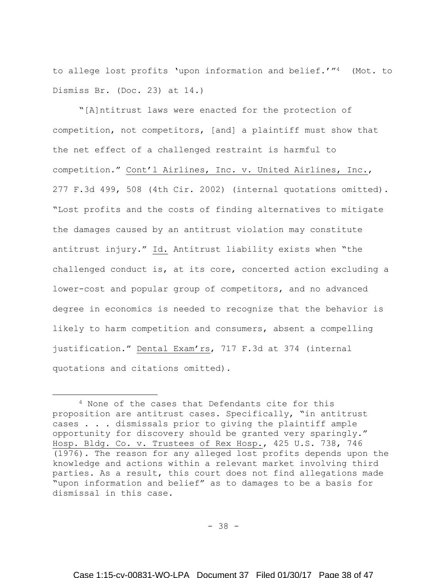to allege lost profits 'upon information and belief.'"4 (Mot. to Dismiss Br. (Doc. 23) at 14.)

"[A]ntitrust laws were enacted for the protection of competition, not competitors, [and] a plaintiff must show that the net effect of a challenged restraint is harmful to competition." Cont'l Airlines, Inc. v. United Airlines, Inc., 277 F.3d 499, 508 (4th Cir. 2002) (internal quotations omitted). "Lost profits and the costs of finding alternatives to mitigate the damages caused by an antitrust violation may constitute antitrust injury." Id. Antitrust liability exists when "the challenged conduct is, at its core, concerted action excluding a lower-cost and popular group of competitors, and no advanced degree in economics is needed to recognize that the behavior is likely to harm competition and consumers, absent a compelling justification." Dental Exam'rs, 717 F.3d at 374 (internal quotations and citations omitted).

 $\overline{a}$ 

- 38 -

<sup>4</sup> None of the cases that Defendants cite for this proposition are antitrust cases. Specifically, "in antitrust cases . . . dismissals prior to giving the plaintiff ample opportunity for discovery should be granted very sparingly." Hosp. Bldg. Co. v. Trustees of Rex Hosp., 425 U.S. 738, 746 (1976). The reason for any alleged lost profits depends upon the knowledge and actions within a relevant market involving third parties. As a result, this court does not find allegations made "upon information and belief" as to damages to be a basis for dismissal in this case.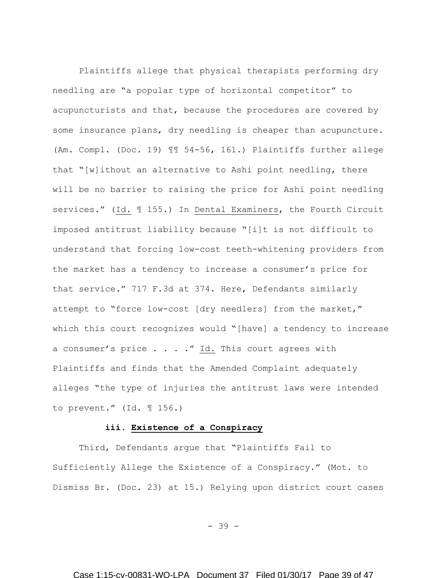Plaintiffs allege that physical therapists performing dry needling are "a popular type of horizontal competitor" to acupuncturists and that, because the procedures are covered by some insurance plans, dry needling is cheaper than acupuncture. (Am. Compl. (Doc. 19) ¶¶ 54-56, 161.) Plaintiffs further allege that "[w]ithout an alternative to Ashi point needling, there will be no barrier to raising the price for Ashi point needling services." (Id. ¶ 155.) In Dental Examiners, the Fourth Circuit imposed antitrust liability because "[i]t is not difficult to understand that forcing low-cost teeth-whitening providers from the market has a tendency to increase a consumer's price for that service." 717 F.3d at 374. Here, Defendants similarly attempt to "force low-cost [dry needlers] from the market," which this court recognizes would "[have] a tendency to increase a consumer's price . . . . " Id. This court agrees with Plaintiffs and finds that the Amended Complaint adequately alleges "the type of injuries the antitrust laws were intended to prevent." (Id. ¶ 156.)

## **iii. Existence of a Conspiracy**

Third, Defendants argue that "Plaintiffs Fail to Sufficiently Allege the Existence of a Conspiracy." (Mot. to Dismiss Br. (Doc. 23) at 15.) Relying upon district court cases

- 39 -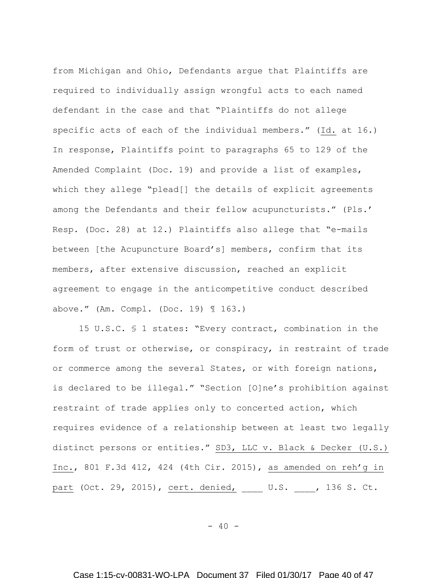from Michigan and Ohio, Defendants argue that Plaintiffs are required to individually assign wrongful acts to each named defendant in the case and that "Plaintiffs do not allege specific acts of each of the individual members." (Id. at 16.) In response, Plaintiffs point to paragraphs 65 to 129 of the Amended Complaint (Doc. 19) and provide a list of examples, which they allege "plead[] the details of explicit agreements among the Defendants and their fellow acupuncturists." (Pls.' Resp. (Doc. 28) at 12.) Plaintiffs also allege that "e-mails between [the Acupuncture Board's] members, confirm that its members, after extensive discussion, reached an explicit agreement to engage in the anticompetitive conduct described above." (Am. Compl. (Doc. 19) ¶ 163.)

15 U.S.C. § 1 states: "Every contract, combination in the form of trust or otherwise, or conspiracy, in restraint of trade or commerce among the several States, or with foreign nations, is declared to be illegal." "Section [O]ne's prohibition against restraint of trade applies only to concerted action, which requires evidence of a relationship between at least two legally distinct persons or entities." SD3, LLC v. Black & Decker (U.S.) Inc., 801 F.3d 412, 424 (4th Cir. 2015), as amended on reh'g in part (Oct. 29, 2015), cert. denied, \_\_\_\_ U.S. \_\_\_, 136 S. Ct.

 $- 40 -$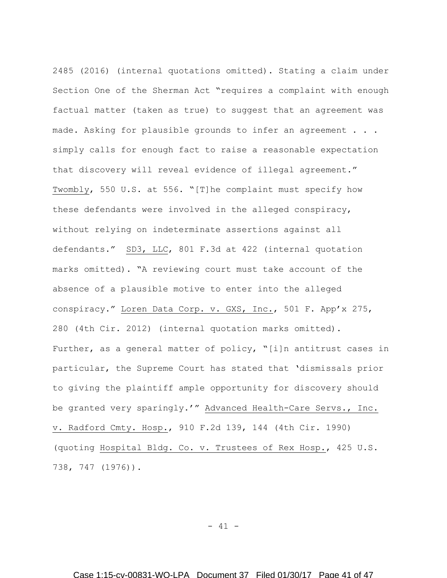2485 (2016) (internal quotations omitted). Stating a claim under Section One of the Sherman Act "requires a complaint with enough factual matter (taken as true) to suggest that an agreement was made. Asking for plausible grounds to infer an agreement . . . simply calls for enough fact to raise a reasonable expectation that discovery will reveal evidence of illegal agreement." Twombly, 550 U.S. at 556. "[T]he complaint must specify how these defendants were involved in the alleged conspiracy, without relying on indeterminate assertions against all defendants." SD3, LLC, 801 F.3d at 422 (internal quotation marks omitted). "A reviewing court must take account of the absence of a plausible motive to enter into the alleged conspiracy." Loren Data Corp. v. GXS, Inc., 501 F. App'x 275, 280 (4th Cir. 2012) (internal quotation marks omitted). Further, as a general matter of policy, "[i]n antitrust cases in particular, the Supreme Court has stated that 'dismissals prior to giving the plaintiff ample opportunity for discovery should be granted very sparingly.'" Advanced Health-Care Servs., Inc. v. Radford Cmty. Hosp., 910 F.2d 139, 144 (4th Cir. 1990) (quoting Hospital Bldg. Co. v. Trustees of Rex Hosp., 425 U.S. 738, 747 (1976)).

 $- 41 -$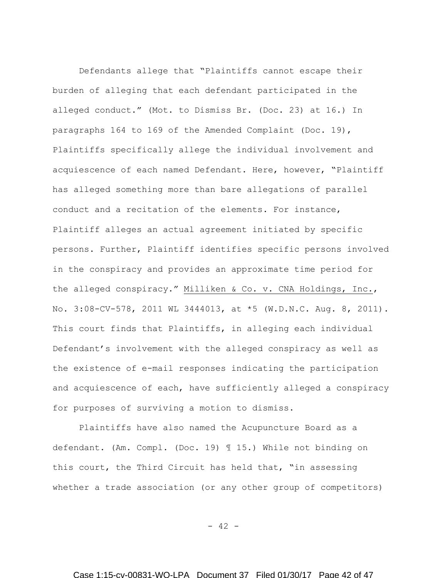Defendants allege that "Plaintiffs cannot escape their burden of alleging that each defendant participated in the alleged conduct." (Mot. to Dismiss Br. (Doc. 23) at 16.) In paragraphs 164 to 169 of the Amended Complaint (Doc. 19), Plaintiffs specifically allege the individual involvement and acquiescence of each named Defendant. Here, however, "Plaintiff has alleged something more than bare allegations of parallel conduct and a recitation of the elements. For instance, Plaintiff alleges an actual agreement initiated by specific persons. Further, Plaintiff identifies specific persons involved in the conspiracy and provides an approximate time period for the alleged conspiracy." Milliken & Co. v. CNA Holdings, Inc., No. 3:08-CV-578, 2011 WL 3444013, at \*5 (W.D.N.C. Aug. 8, 2011). This court finds that Plaintiffs, in alleging each individual Defendant's involvement with the alleged conspiracy as well as the existence of e-mail responses indicating the participation and acquiescence of each, have sufficiently alleged a conspiracy for purposes of surviving a motion to dismiss.

Plaintiffs have also named the Acupuncture Board as a defendant. (Am. Compl. (Doc. 19) ¶ 15.) While not binding on this court, the Third Circuit has held that, "in assessing whether a trade association (or any other group of competitors)

 $- 42 -$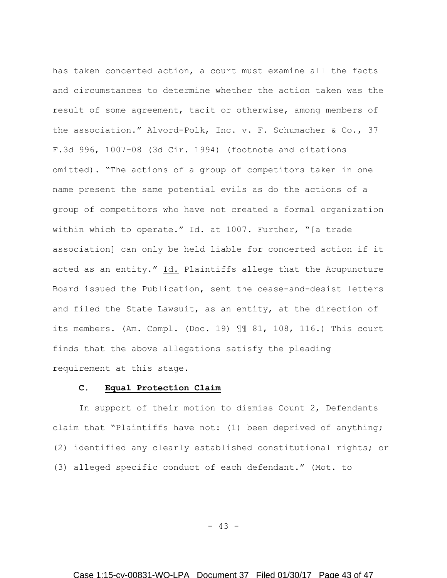has taken concerted action, a court must examine all the facts and circumstances to determine whether the action taken was the result of some agreement, tacit or otherwise, among members of the association." Alvord-Polk, Inc. v. F. Schumacher & Co., 37 F.3d 996, 1007–08 (3d Cir. 1994) (footnote and citations omitted). "The actions of a group of competitors taken in one name present the same potential evils as do the actions of a group of competitors who have not created a formal organization within which to operate." Id. at 1007. Further, "[a trade association] can only be held liable for concerted action if it acted as an entity." Id. Plaintiffs allege that the Acupuncture Board issued the Publication, sent the cease-and-desist letters and filed the State Lawsuit, as an entity, at the direction of its members. (Am. Compl. (Doc. 19) ¶¶ 81, 108, 116.) This court finds that the above allegations satisfy the pleading requirement at this stage.

### **C. Equal Protection Claim**

In support of their motion to dismiss Count 2, Defendants claim that "Plaintiffs have not: (1) been deprived of anything; (2) identified any clearly established constitutional rights; or (3) alleged specific conduct of each defendant." (Mot. to

- 43 -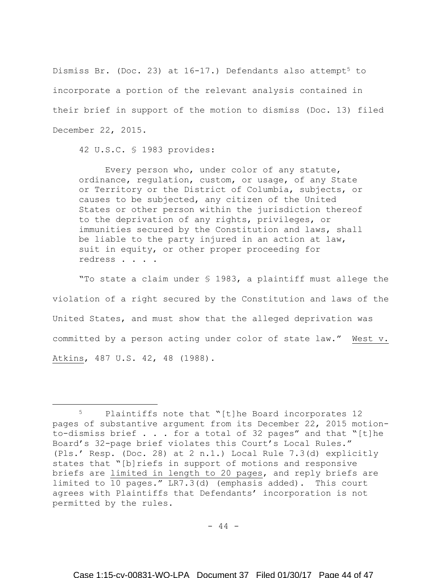Dismiss Br. (Doc. 23) at  $16-17$ .) Defendants also attempt<sup>5</sup> to incorporate a portion of the relevant analysis contained in their brief in support of the motion to dismiss (Doc. 13) filed December 22, 2015.

42 U.S.C. § 1983 provides:

 $\overline{a}$ 

Every person who, under color of any statute, ordinance, regulation, custom, or usage, of any State or Territory or the District of Columbia, subjects, or causes to be subjected, any citizen of the United States or other person within the jurisdiction thereof to the deprivation of any rights, privileges, or immunities secured by the Constitution and laws, shall be liable to the party injured in an action at law, suit in equity, or other proper proceeding for redress . . . .

"To state a claim under § 1983, a plaintiff must allege the violation of a right secured by the Constitution and laws of the United States, and must show that the alleged deprivation was committed by a person acting under color of state law." West v. Atkins, 487 U.S. 42, 48 (1988).

 $- 44 -$ 

<sup>5</sup> Plaintiffs note that "[t]he Board incorporates 12 pages of substantive argument from its December 22, 2015 motionto-dismiss brief . . . for a total of 32 pages" and that "[t]he Board's 32-page brief violates this Court's Local Rules." (Pls.' Resp. (Doc. 28) at 2 n.1.) Local Rule 7.3(d) explicitly states that "[b]riefs in support of motions and responsive briefs are limited in length to 20 pages, and reply briefs are limited to 10 pages." LR7.3(d) (emphasis added). This court agrees with Plaintiffs that Defendants' incorporation is not permitted by the rules.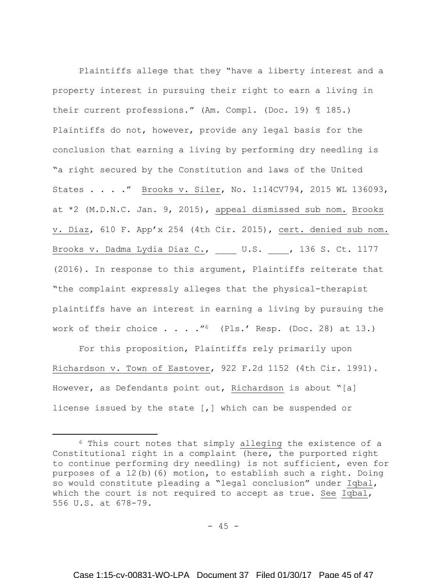Plaintiffs allege that they "have a liberty interest and a property interest in pursuing their right to earn a living in their current professions." (Am. Compl. (Doc. 19) ¶ 185.) Plaintiffs do not, however, provide any legal basis for the conclusion that earning a living by performing dry needling is "a right secured by the Constitution and laws of the United States . . . ." Brooks v. Siler, No. 1:14CV794, 2015 WL 136093, at \*2 (M.D.N.C. Jan. 9, 2015), appeal dismissed sub nom. Brooks v. Diaz, 610 F. App'x 254 (4th Cir. 2015), cert. denied sub nom. Brooks v. Dadma Lydia Diaz C., \_\_\_\_ U.S. \_\_\_\_, 136 S. Ct. 1177 (2016). In response to this argument, Plaintiffs reiterate that "the complaint expressly alleges that the physical-therapist plaintiffs have an interest in earning a living by pursuing the work of their choice  $\ldots$  . . "<sup>6</sup> (Pls.' Resp. (Doc. 28) at 13.)

For this proposition, Plaintiffs rely primarily upon Richardson v. Town of Eastover, 922 F.2d 1152 (4th Cir. 1991). However, as Defendants point out, Richardson is about "[a] license issued by the state [,] which can be suspended or

 $\overline{a}$ 

<sup>6</sup> This court notes that simply alleging the existence of a Constitutional right in a complaint (here, the purported right to continue performing dry needling) is not sufficient, even for purposes of a 12(b)(6) motion, to establish such a right. Doing so would constitute pleading a "legal conclusion" under Iqbal, which the court is not required to accept as true. See Iqbal, 556 U.S. at 678-79.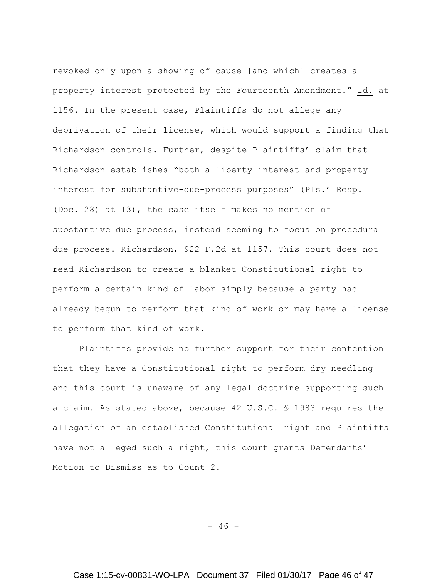revoked only upon a showing of cause [and which] creates a property interest protected by the Fourteenth Amendment." Id. at 1156. In the present case, Plaintiffs do not allege any deprivation of their license, which would support a finding that Richardson controls. Further, despite Plaintiffs' claim that Richardson establishes "both a liberty interest and property interest for substantive-due-process purposes" (Pls.' Resp. (Doc. 28) at 13), the case itself makes no mention of substantive due process, instead seeming to focus on procedural due process. Richardson, 922 F.2d at 1157. This court does not read Richardson to create a blanket Constitutional right to perform a certain kind of labor simply because a party had already begun to perform that kind of work or may have a license to perform that kind of work.

Plaintiffs provide no further support for their contention that they have a Constitutional right to perform dry needling and this court is unaware of any legal doctrine supporting such a claim. As stated above, because 42 U.S.C. § 1983 requires the allegation of an established Constitutional right and Plaintiffs have not alleged such a right, this court grants Defendants' Motion to Dismiss as to Count 2.

 $- 46 -$